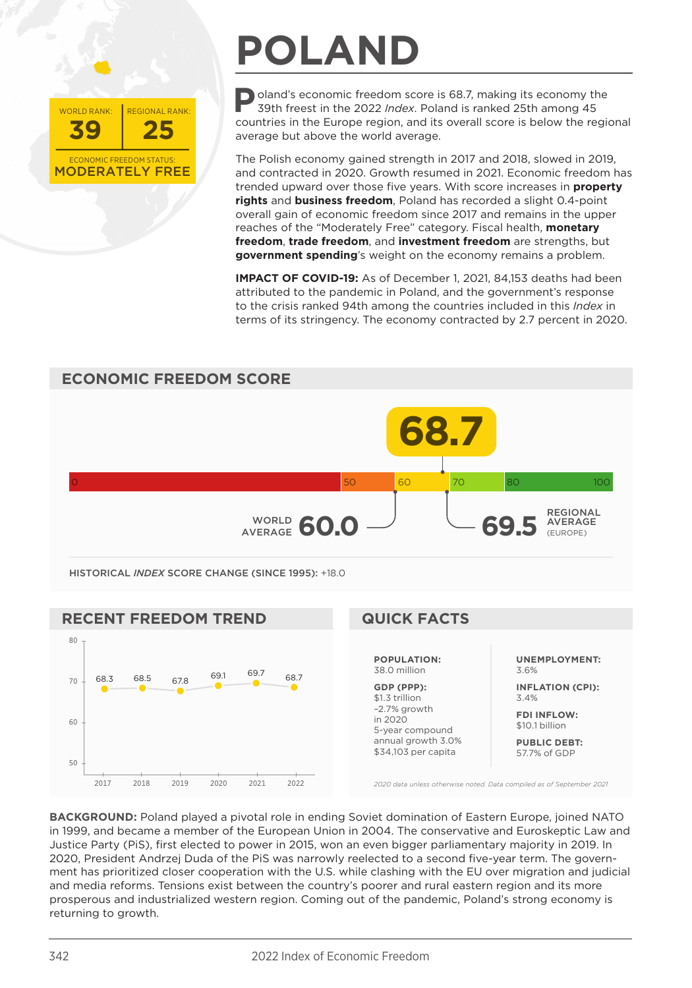

## **POLAND**

**Poland's economic freedom score is 68.7, making its economy the 39th freest in the 2022** *Index***. Poland is ranked 25th among 45** countries in the Europe region, and its overall score is below the regional average but above the world average.

The Polish economy gained strength in 2017 and 2018, slowed in 2019, and contracted in 2020. Growth resumed in 2021. Economic freedom has trended upward over those five years. With score increases in **property rights** and **business freedom**, Poland has recorded a slight 0.4-point overall gain of economic freedom since 2017 and remains in the upper reaches of the "Moderately Free" category. Fiscal health, **monetary freedom**, **trade freedom**, and **investment freedom** are strengths, but **government spending**'s weight on the economy remains a problem.

**IMPACT OF COVID-19:** As of December 1, 2021, 84,153 deaths had been attributed to the pandemic in Poland, and the government's response to the crisis ranked 94th among the countries included in this *Index* in terms of its stringency. The economy contracted by 2.7 percent in 2020.





**BACKGROUND:** Poland played a pivotal role in ending Soviet domination of Eastern Europe, joined NATO in 1999, and became a member of the European Union in 2004. The conservative and Euroskeptic Law and Justice Party (PiS), first elected to power in 2015, won an even bigger parliamentary majority in 2019. In 2020, President Andrzej Duda of the PiS was narrowly reelected to a second five-year term. The government has prioritized closer cooperation with the U.S. while clashing with the EU over migration and judicial and media reforms. Tensions exist between the country's poorer and rural eastern region and its more prosperous and industrialized western region. Coming out of the pandemic, Poland's strong economy is returning to growth.